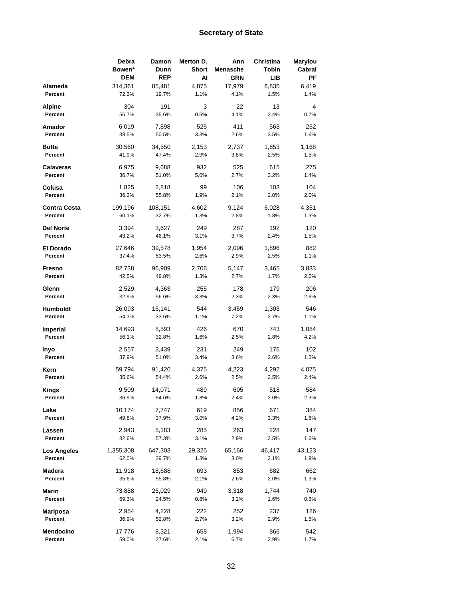|                            | Debra<br>Bowen* | Damon<br>Dunn  | Merton D.<br><b>Short</b> | Ann<br>Menasche | Christina<br>Tobin | Marylou<br>Cabral |
|----------------------------|-----------------|----------------|---------------------------|-----------------|--------------------|-------------------|
|                            | <b>DEM</b>      | <b>REP</b>     | Al                        | GRN             | LIB                | ΡF                |
| Alameda                    | 314,361         | 85,481         | 4,875                     | 17,979          | 6,835              | 6,419             |
| Percent                    | 72.2%           | 19.7%          | 1.1%                      | 4.1%            | 1.5%               | 1.4%              |
| Alpine                     | 304             | 191            | 3                         | 22              | 13                 | 4                 |
| Percent                    | 56.7%           | 35.6%          | 0.5%                      | 4.1%            | 2.4%               | 0.7%              |
| Amador                     | 6,019           | 7,898          | 525                       | 411             | 563                | 252               |
| Percent                    | 38.5%           | 50.5%          | 3.3%                      | 2.6%            | 3.5%               | 1.6%              |
|                            |                 |                |                           |                 |                    |                   |
| <b>Butte</b>               | 30,560          | 34,550         | 2,153                     | 2,737           | 1,853              | 1,168             |
| Percent                    | 41.9%           | 47.4%          | 2.9%                      | 3.8%            | 2.5%               | 1.5%              |
| <b>Calaveras</b>           | 6,975           | 9,688          | 932                       | 525             | 615                | 275               |
| Percent                    | 36.7%           | 51.0%          | 5.0%                      | 2.7%            | 3.2%               | 1.4%              |
| Colusa                     | 1,825           | 2,818          | 99                        | 106             | 103                | 104               |
| Percent                    | 36.2%           | 55.8%          | 1.9%                      | 2.1%            | 2.0%               | 2.0%              |
|                            |                 |                |                           |                 |                    |                   |
| <b>Contra Costa</b>        | 199,196         | 108,151        | 4,602                     | 9,124           | 6,028              | 4,351             |
| Percent                    | 60.1%           | 32.7%          | 1.3%                      | 2.8%            | 1.8%               | 1.3%              |
| <b>Del Norte</b>           | 3,394           | 3,627          | 249                       | 287             | 192                | 120               |
| Percent                    | 43.2%           | 46.1%          | 3.1%                      | 3.7%            | 2.4%               | 1.5%              |
|                            |                 |                |                           |                 |                    |                   |
| <b>El Dorado</b>           | 27,646          | 39,578         | 1,954                     | 2,096           | 1,896              | 882               |
| Percent                    | 37.4%           | 53.5%          | 2.6%                      | 2.9%            | 2.5%               | 1.1%              |
| <b>Fresno</b>              | 82,738          | 96,909         | 2,706                     | 5,147           | 3,465              | 3,833             |
| Percent                    | 42.5%           | 49.8%          | 1.3%                      | 2.7%            | 1.7%               | 2.0%              |
| Glenn                      | 2,529           | 4,363          | 255                       | 178             | 179                | 206               |
| Percent                    | 32.9%           | 56.6%          | 3.3%                      | 2.3%            | 2.3%               | 2.6%              |
|                            |                 |                |                           |                 |                    |                   |
| Humboldt                   | 26,093          | 16,141         | 544                       | 3,459           | 1,303              | 546               |
| Percent                    | 54.3%           | 33.6%          | 1.1%                      | 7.2%            | 2.7%               | 1.1%              |
| <b>Imperial</b>            | 14,693          | 8,593          | 426                       | 670             | 743                | 1,084             |
| Percent                    | 56.1%           | 32.8%          | 1.6%                      | 2.5%            | 2.8%               | 4.2%              |
|                            |                 |                | 231                       |                 | 176                | 102               |
| Inyo<br>Percent            | 2,557<br>37.9%  | 3,439<br>51.0% | 3.4%                      | 249<br>3.6%     | 2.6%               | 1.5%              |
|                            |                 |                |                           |                 |                    |                   |
| Kern                       | 59,794          | 91,420         | 4,375                     | 4,223           | 4,292              | 4,075             |
| Percent                    | 35.6%           | 54.4%          | 2.6%                      | 2.5%            | 2.5%               | 2.4%              |
| <b>Kings</b>               | 9,509           | 14,071         | 489                       | 605             | 518                | 584               |
| Percent                    | 36.9%           | 54.6%          | 1.8%                      | 2.4%            | 2.0%               | 2.3%              |
|                            |                 |                |                           |                 |                    |                   |
| Lake<br>Percent            | 10,174<br>49.8% | 7,747          | 619                       | 856             | 671                | 384               |
|                            |                 | 37.9%          | 3.0%                      | 4.2%            | 3.3%               | 1.8%              |
| Lassen                     | 2,943           | 5,183          | 285                       | 263             | 228                | 147               |
| Percent                    | 32.6%           | 57.3%          | 3.1%                      | 2.9%            | 2.5%               | 1.6%              |
| Los Angeles                | 1,355,308       | 647,303        | 29,325                    | 65,166          | 46,417             | 43,123            |
| Percent                    | 62.0%           | 29.7%          | 1.3%                      | 3.0%            | 2.1%               | 1.9%              |
|                            |                 |                |                           |                 |                    |                   |
| Madera                     | 11,918          | 18,688         | 693                       | 853             | 682                | 662               |
| Percent                    | 35.6%           | 55.8%          | 2.1%                      | 2.6%            | 2.0%               | 1.9%              |
| Marin                      | 73,888          | 26,029         | 949                       | 3,318           | 1,744              | 740               |
| Percent                    | 69.3%           | 24.5%          | 0.8%                      | 3.2%            | 1.6%               | 0.6%              |
|                            |                 |                |                           |                 |                    |                   |
| <b>Mariposa</b><br>Percent | 2,954<br>36.9%  | 4,228          | 222                       | 252             | 237                | 126               |
|                            |                 | 52.8%          | 2.7%                      | 3.2%            | 2.9%               | 1.5%              |
| Mendocino                  | 17,776          | 8,321          | 658                       | 1,994           | 866                | 542               |
| Percent                    | 59.0%           | 27.6%          | 2.1%                      | 6.7%            | 2.9%               | 1.7%              |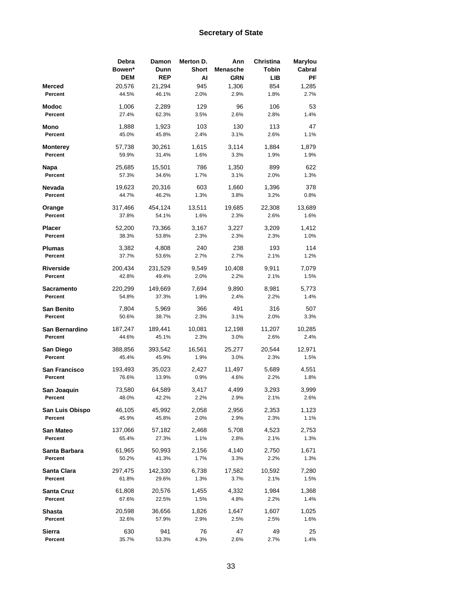|                  | Debra<br>Bowen*<br><b>DEM</b> | Damon<br>Dunn<br><b>REP</b> | Merton D.<br><b>Short</b><br>Al | Ann<br>Menasche<br>GRN | Christina<br>Tobin<br>LIB. | Marylou<br>Cabral<br>РF |
|------------------|-------------------------------|-----------------------------|---------------------------------|------------------------|----------------------------|-------------------------|
| Merced           | 20,576                        | 21,294                      | 945                             | 1,306                  | 854                        | 1,285                   |
| Percent          | 44.5%                         | 46.1%                       | 2.0%                            | 2.9%                   | 1.8%                       | 2.7%                    |
| Modoc            | 1,006                         | 2,289                       | 129                             | 96                     | 106                        | 53                      |
| Percent          | 27.4%                         | 62.3%                       | 3.5%                            | 2.6%                   | 2.8%                       | 1.4%                    |
| Mono             | 1,888                         | 1,923                       | 103                             | 130                    | 113                        | 47                      |
| Percent          | 45.0%                         | 45.8%                       | 2.4%                            | 3.1%                   | 2.6%                       | 1.1%                    |
| <b>Monterey</b>  | 57,738                        | 30,261                      | 1,615                           | 3,114                  | 1,884                      | 1,879                   |
| Percent          | 59.9%                         | 31.4%                       | 1.6%                            | 3.3%                   | 1.9%                       | 1.9%                    |
| Napa             | 25,685                        | 15,501                      | 786                             | 1,350                  | 899                        | 622                     |
| Percent          | 57.3%                         | 34.6%                       | 1.7%                            | 3.1%                   | 2.0%                       | 1.3%                    |
| Nevada           | 19,623                        | 20,316                      | 603                             | 1,660                  | 1,396                      | 378                     |
| Percent          | 44.7%                         | 46.2%                       | 1.3%                            | 3.8%                   | 3.2%                       | 0.8%                    |
| Orange           | 317,466                       | 454,124                     | 13,511                          | 19,685                 | 22,308                     | 13,689                  |
| Percent          | 37.8%                         | 54.1%                       | 1.6%                            | 2.3%                   | 2.6%                       | 1.6%                    |
| Placer           | 52,200                        | 73,366                      | 3,167                           | 3,227                  | 3,209                      | 1,412                   |
| Percent          | 38.3%                         | 53.8%                       | 2.3%                            | 2.3%                   | 2.3%                       | 1.0%                    |
| Plumas           | 3,382                         | 4,808                       | 240                             | 238                    | 193                        | 114                     |
| Percent          | 37.7%                         | 53.6%                       | 2.7%                            | 2.7%                   | 2.1%                       | 1.2%                    |
| <b>Riverside</b> | 200,434                       | 231,529                     | 9,549                           | 10,408                 | 9,911                      | 7,079                   |
| Percent          | 42.8%                         | 49.4%                       | 2.0%                            | 2.2%                   | 2.1%                       | 1.5%                    |
| Sacramento       | 220,299                       | 149,669                     | 7,694                           | 9,890                  | 8,981                      | 5,773                   |
| Percent          | 54.8%                         | 37.3%                       | 1.9%                            | 2.4%                   | 2.2%                       | 1.4%                    |
| San Benito       | 7,804                         | 5,969                       | 366                             | 491                    | 316                        | 507                     |
| Percent          | 50.6%                         | 38.7%                       | 2.3%                            | 3.1%                   | 2.0%                       | 3.3%                    |
| San Bernardino   | 187,247                       | 189,441                     | 10,081                          | 12,198                 | 11,207                     | 10,285                  |
| Percent          | 44.6%                         | 45.1%                       | 2.3%                            | 3.0%                   | 2.6%                       | 2.4%                    |
| San Diego        | 388,856                       | 393,542                     | 16,561                          | 25,277                 | 20,544                     | 12,971                  |
| Percent          | 45.4%                         | 45.9%                       | 1.9%                            | 3.0%                   | 2.3%                       | 1.5%                    |
| San Francisco    | 193,493                       | 35,023                      | 2,427                           | 11,497                 | 5,689                      | 4,551                   |
| Percent          | 76.6%                         | 13.9%                       | 0.9%                            | 4.6%                   | 2.2%                       | 1.8%                    |
| San Joaquin      | 73,580                        | 64,589                      | 3,417                           | 4,499                  | 3,293                      | 3,999                   |
| Percent          | 48.0%                         | 42.2%                       | 2.2%                            | 2.9%                   | 2.1%                       | 2.6%                    |
| San Luis Obispo  | 46,105                        | 45,992                      | 2,058                           | 2,956                  | 2,353                      | 1,123                   |
| Percent          | 45.9%                         | 45.8%                       | 2.0%                            | 2.9%                   | 2.3%                       | 1.1%                    |
| San Mateo        | 137,066                       | 57,182                      | 2,468                           | 5,708                  | 4,523                      | 2,753                   |
| Percent          | 65.4%                         | 27.3%                       | 1.1%                            | 2.8%                   | 2.1%                       | 1.3%                    |
| Santa Barbara    | 61,965                        | 50,993                      | 2,156                           | 4,140                  | 2,750                      | 1,671                   |
| Percent          | 50.2%                         | 41.3%                       | 1.7%                            | 3.3%                   | 2.2%                       | 1.3%                    |
| Santa Clara      | 297,475                       | 142,330                     | 6,738                           | 17,582                 | 10,592                     | 7,280                   |
| Percent          | 61.8%                         | 29.6%                       | 1.3%                            | 3.7%                   | 2.1%                       | 1.5%                    |
| Santa Cruz       | 61,808                        | 20,576                      | 1,455                           | 4,332                  | 1,984                      | 1,368                   |
| Percent          | 67.6%                         | 22.5%                       | 1.5%                            | 4.8%                   | 2.2%                       | 1.4%                    |
| Shasta           | 20,598                        | 36,656                      | 1,826                           | 1,647                  | 1,607                      | 1,025                   |
| Percent          | 32.6%                         | 57.9%                       | 2.9%                            | 2.5%                   | 2.5%                       | 1.6%                    |
| Sierra           | 630                           | 941                         | 76                              | 47                     | 49                         | 25                      |
| Percent          | 35.7%                         | 53.3%                       | 4.3%                            | 2.6%                   | 2.7%                       | 1.4%                    |